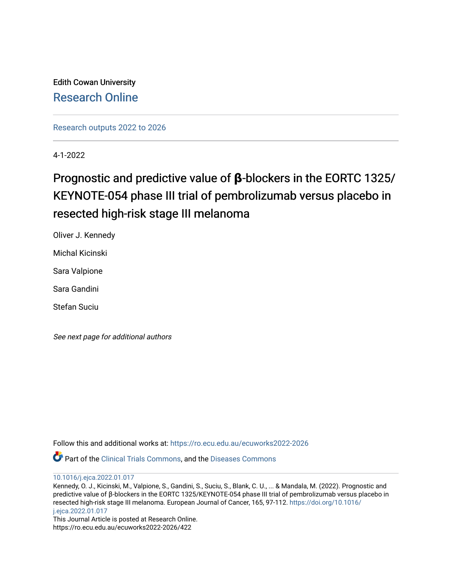Edith Cowan University [Research Online](https://ro.ecu.edu.au/) 

[Research outputs 2022 to 2026](https://ro.ecu.edu.au/ecuworks2022-2026) 

4-1-2022

# Prognostic and predictive value of **β**-blockers in the EORTC 1325/ KEYNOTE-054 phase III trial of pembrolizumab versus placebo in resected high-risk stage III melanoma

Oliver J. Kennedy

Michal Kicinski

Sara Valpione

Sara Gandini

Stefan Suciu

See next page for additional authors

Follow this and additional works at: [https://ro.ecu.edu.au/ecuworks2022-2026](https://ro.ecu.edu.au/ecuworks2022-2026?utm_source=ro.ecu.edu.au%2Fecuworks2022-2026%2F422&utm_medium=PDF&utm_campaign=PDFCoverPages)

Part of the [Clinical Trials Commons](http://network.bepress.com/hgg/discipline/820?utm_source=ro.ecu.edu.au%2Fecuworks2022-2026%2F422&utm_medium=PDF&utm_campaign=PDFCoverPages), and the [Diseases Commons](http://network.bepress.com/hgg/discipline/813?utm_source=ro.ecu.edu.au%2Fecuworks2022-2026%2F422&utm_medium=PDF&utm_campaign=PDFCoverPages)

[10.1016/j.ejca.2022.01.017](http://dx.doi.org/10.1016/j.ejca.2022.01.017) 

Kennedy, O. J., Kicinski, M., Valpione, S., Gandini, S., Suciu, S., Blank, C. U., ... & Mandala, M. (2022). Prognostic and predictive value of β-blockers in the EORTC 1325/KEYNOTE-054 phase III trial of pembrolizumab versus placebo in resected high-risk stage III melanoma. European Journal of Cancer, 165, 97-112. [https://doi.org/10.1016/](https://doi.org/10.1016/j.ejca.2022.01.017) [j.ejca.2022.01.017](https://doi.org/10.1016/j.ejca.2022.01.017) 

This Journal Article is posted at Research Online. https://ro.ecu.edu.au/ecuworks2022-2026/422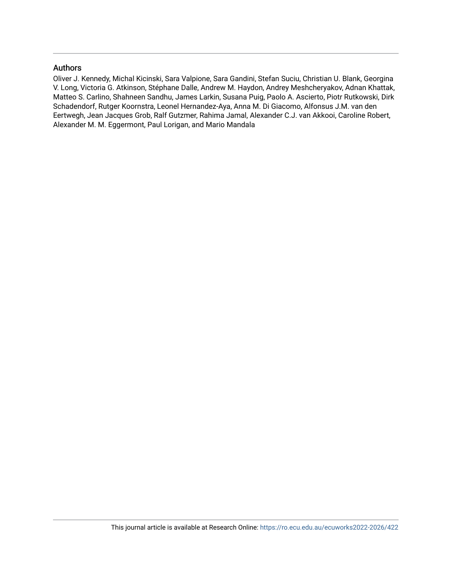## Authors

Oliver J. Kennedy, Michal Kicinski, Sara Valpione, Sara Gandini, Stefan Suciu, Christian U. Blank, Georgina V. Long, Victoria G. Atkinson, Stéphane Dalle, Andrew M. Haydon, Andrey Meshcheryakov, Adnan Khattak, Matteo S. Carlino, Shahneen Sandhu, James Larkin, Susana Puig, Paolo A. Ascierto, Piotr Rutkowski, Dirk Schadendorf, Rutger Koornstra, Leonel Hernandez-Aya, Anna M. Di Giacomo, Alfonsus J.M. van den Eertwegh, Jean Jacques Grob, Ralf Gutzmer, Rahima Jamal, Alexander C.J. van Akkooi, Caroline Robert, Alexander M. M. Eggermont, Paul Lorigan, and Mario Mandala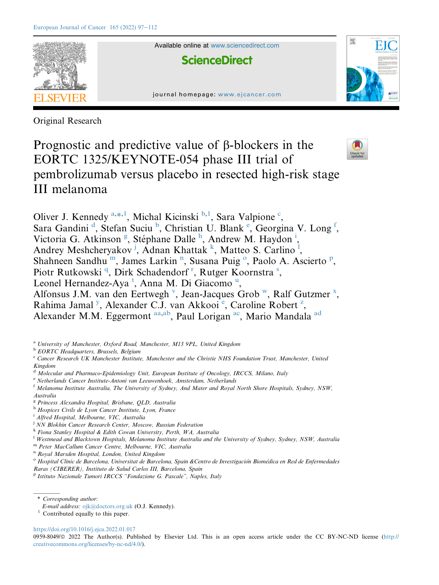

Available online at [www.sciencedirect.com](www.sciencedirect.com/science/journal/09598049)

**ScienceDirect** 





Original Research

# Prognostic and predictive value of  $\beta$ -blockers in the EORTC 1325/KEYNOTE-054 phase III trial of pembrolizumab versus placebo in resected high-risk stage III melanoma



Oliver J. Kennedy<sup>[a,](#page-2-0)[\\*](#page-2-1)[,1](#page-2-2)</sup>, Michal Kicinski<sup>[b,](#page-2-3)[1](#page-2-2)</sup>, Sara Valpione<sup>[c](#page-2-4)</sup>, Sara Gan[d](#page-2-5)ini<sup>d</sup>, Stefan Suciu<sup>[b](#page-2-3)</sup>, Christian U. Blank<sup>[e](#page-2-6)</sup>, Georgina V. Long<sup>[f](#page-2-7)</sup>, Victoria G. Atkinson<sup>[g](#page-2-8)</sup>, Stép[h](#page-2-9)ane Dalle<sup>h</sup>, Andrew M. Haydon<sup>[i](#page-2-10)</sup>, Andrey Meshcheryakov<sup>[j](#page-2-11)</sup>, Adnan Khatta[k](#page-2-12) <sup>k</sup>, Matteo S. Car[l](#page-2-13)ino<sup>1</sup>, Shahneen Sandhu<sup>[m](#page-2-14)</sup>, James Larki[n](#page-2-15)<sup>n</sup>, Susana Puig<sup>[o](#page-2-16)</su[p](#page-2-17)>, Paolo A. Ascierto<sup>p</sup>, Piotr Rutkowski<sup>[q](#page-3-0)</sup>, Di[r](#page-3-1)k Schadendorf<[s](#page-3-2)up>r</sup>, Rutger Koornstra<sup>s</sup>, Leonel Hernandez-Aya<sup>[t](#page-3-3)</s[u](#page-3-4)p>, Anna M. Di Giacomo<sup>u</sup>, Alfonsus J.M. [v](#page-3-5)an den Eertwegh<sup>v</sup>, Jean-Jacques Grob<sup>w</sup>, Ralf Gutzmer<sup>[x](#page-3-7)</sup>, Rahima Jamal<sup>[y](#page-3-8)</sup>, Al[e](#page-2-6)xander C.J. van Akkooi<sup>e</sup>, Caroline Robert<sup>[z](#page-3-9)</sup>, Alexander M.M. Eggermont [aa,](#page-3-10)[ab](#page-3-11), Paul Lorigan [ac,](#page-3-12) Mario Mandala [ad](#page-3-13)

<span id="page-2-0"></span><sup>a</sup> University of Manchester, Oxford Road, Manchester, M13 9PL, United Kingdom

<span id="page-2-3"></span>**b** EORTC Headquarters, Brussels, Belgium

<span id="page-2-5"></span><sup>d</sup> Molecular and Pharmaco-Epidemiology Unit, European Institute of Oncology, IRCCS, Milano, Italy

<span id="page-2-6"></span><sup>e</sup> Netherlands Cancer Institute-Antoni van Leeuwenhoek, Amsterdam, Netherlands

<span id="page-2-7"></span><sup>f</sup> Melanoma Institute Australia, The University of Sydney, And Mater and Royal North Shore Hospitals, Sydney, NSW, Australia

- <span id="page-2-8"></span><sup>g</sup> Princess Alexandra Hospital, Brisbane, QLD, Australia
- <span id="page-2-9"></span><sup>h</sup> Hospices Civils de Lyon Cancer Institute, Lyon, France
- <span id="page-2-10"></span><sup>i</sup> Alfred Hospital, Melbourne, VIC, Australia
- <span id="page-2-11"></span><sup>j</sup> NN Blokhin Cancer Research Center, Moscow, Russian Federation
- <span id="page-2-12"></span><sup>k</sup> Fiona Stanley Hospital & Edith Cowan University, Perth, WA, Australia

<span id="page-2-13"></span><sup>1</sup> Westmead and Blacktown Hospitals, Melanoma Institute Australia and the University of Sydney, Sydney, NSW, Australia

<span id="page-2-14"></span><sup>m</sup> Peter MacCallum Cancer Centre, Melbourne, VIC, Australia

<span id="page-2-15"></span><sup>n</sup> Royal Marsden Hospital, London, United Kingdom

<span id="page-2-16"></span><sup>o</sup> Hospital Clinic de Barcelona, Universitat de Barcelona, Spain &Centro de Investigación Biomédica en Red de Enfermedades

Raras (CIBERER), Instituto de Salud Carlos III, Barcelona, Spain

<span id="page-2-17"></span><sup>p</sup> Istituto Nazionale Tumori IRCCS "Fondazione G. Pascale", Naples, Italy

<span id="page-2-1"></span>\* Corresponding author:

<https://doi.org/10.1016/j.ejca.2022.01.017>

0959-8049/@ 2022 The Author(s). Published by Elsevier Ltd. This is an open access article under the CC BY-NC-ND license ([http://](http://creativecommons.org/licenses/by-nc-nd/4.0/) [creativecommons.org/licenses/by-nc-nd/4.0/\)](http://creativecommons.org/licenses/by-nc-nd/4.0/).

<span id="page-2-4"></span><sup>&</sup>lt;sup>c</sup> Cancer Research UK Manchester Institute, Manchester and the Christie NHS Foundation Trust, Manchester, United Kingdom

E-mail address: [ojk@doctors.org.uk](mailto:ojk@doctors.org.uk) (O.J. Kennedy).

<span id="page-2-2"></span><sup>&</sup>lt;sup>1</sup> Contributed equally to this paper.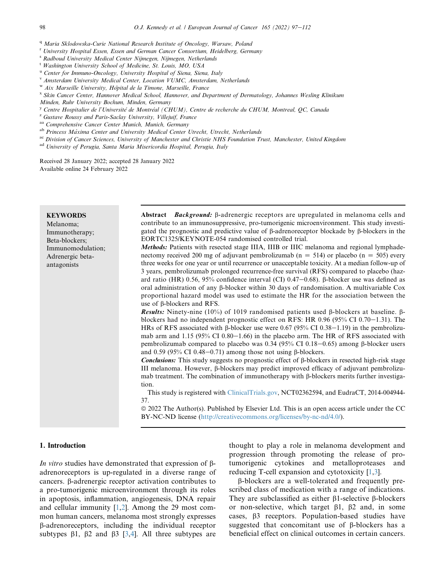- <span id="page-3-0"></span><sup>q</sup> Maria Sklodowska-Curie National Research Institute of Oncology, Warsaw, Poland
- <span id="page-3-1"></span><sup>r</sup> University Hospital Essen, Essen and German Cancer Consortium, Heidelberg, Germany
- <span id="page-3-2"></span><sup>s</sup> Radboud University Medical Center Nijmegen, Nijmegen, Netherlands
- <span id="page-3-3"></span><sup>t</sup> Washington University School of Medicine, St. Louis, MO, USA
- <span id="page-3-4"></span><sup>u</sup> Center for Immuno-Oncology, University Hospital of Siena, Siena, Italy
- <span id="page-3-5"></span><sup>v</sup> Amsterdam University Medical Center, Location VUMC, Amsterdam, Netherlands
- <span id="page-3-6"></span>w Aix Marseille University, Hôpital de la Timone, Marseille, France
- <span id="page-3-7"></span><sup>x</sup> Skin Cancer Center, Hannover Medical School, Hannover, and Department of Dermatology, Johannes Wesling Klinikum
- Minden, Ruhr University Bochum, Minden, Germany
- <span id="page-3-8"></span> $y<sup>y</sup>$  Centre Hospitalier de l'Université de Montréal (CHUM), Centre de recherche du CHUM, Montreal, OC, Canada
- <span id="page-3-9"></span><sup>z</sup> Gustave Roussy and Paris-Saclay University, Villejuif, France
- <span id="page-3-10"></span>aa Comprehensive Cancer Center Munich, Munich, Germany
- <span id="page-3-11"></span>ab Princess Máxima Center and University Medical Center Utrecht, Utrecht, Netherlands
- <span id="page-3-12"></span>ac Division of Cancer Sciences, University of Manchester and Christie NHS Foundation Trust, Manchester, United Kingdom
- <span id="page-3-13"></span>ad University of Perugia, Santa Maria Misericordia Hospital, Perugia, Italy

Received 28 January 2022; accepted 28 January 2022 Available online 24 February 2022

| <b>KEYWORDS</b><br>Melanoma;<br>Immunotherapy;<br>Beta-blockers;<br>Immunomodulation;<br>Adrenergic beta-<br>antagonists | Abstract Background: B-adrenergic receptors are upregulated in melanoma cells and<br>contribute to an immunosuppressive, pro-tumorigenic microenvironment. This study investi-<br>gated the prognostic and predictive value of $\beta$ -adrenoreceptor blockade by $\beta$ -blockers in the<br>EORTC1325/KEYNOTE-054 randomised controlled trial.<br><i>Methods:</i> Patients with resected stage IIIA, IIIB or IIIC melanoma and regional lymphade-<br>nectomy received 200 mg of adjuvant pembrolizumab ( $n = 514$ ) or placebo ( $n = 505$ ) every<br>three weeks for one year or until recurrence or unacceptable toxicity. At a median follow-up of<br>3 years, pembrolizumab prolonged recurrence-free survival (RFS) compared to placebo (haz-<br>ard ratio (HR) 0.56, 95% confidence interval (CI) 0.47–0.68). $\beta$ -blocker use was defined as<br>oral administration of any $\beta$ -blocker within 30 days of randomisation. A multivariable Cox<br>proportional hazard model was used to estimate the HR for the association between the<br>use of $\beta$ -blockers and RFS.<br><b>Results:</b> Ninety-nine (10%) of 1019 randomised patients used $\beta$ -blockers at baseline. $\beta$ -<br>blockers had no independent prognostic effect on RFS: HR 0.96 (95% CI 0.70–1.31). The<br>HRs of RFS associated with $\beta$ -blocker use were 0.67 (95% CI 0.38–1.19) in the pembrolizu-<br>mab arm and 1.15 (95% CI $0.80-1.66$ ) in the placebo arm. The HR of RFS associated with<br>pembrolizumab compared to placebo was 0.34 (95% CI 0.18–0.65) among β-blocker users<br>and 0.59 (95% CI 0.48–0.71) among those not using $\beta$ -blockers.<br><b>Conclusions:</b> This study suggests no prognostic effect of $\beta$ -blockers in resected high-risk stage<br>III melanoma. However, β-blockers may predict improved efficacy of adjuvant pembrolizu-<br>mab treatment. The combination of immunotherapy with $\beta$ -blockers merits further investiga-<br>tion.<br>This study is registered with ClinicalTrials.gov, NCT02362594, and EudraCT, 2014-004944-<br>37.<br>© 2022 The Author(s). Published by Elsevier Ltd. This is an open access article under the CC<br>BY-NC-ND license (http://creativecommons.org/licenses/by-nc-nd/4.0/). |
|--------------------------------------------------------------------------------------------------------------------------|--------------------------------------------------------------------------------------------------------------------------------------------------------------------------------------------------------------------------------------------------------------------------------------------------------------------------------------------------------------------------------------------------------------------------------------------------------------------------------------------------------------------------------------------------------------------------------------------------------------------------------------------------------------------------------------------------------------------------------------------------------------------------------------------------------------------------------------------------------------------------------------------------------------------------------------------------------------------------------------------------------------------------------------------------------------------------------------------------------------------------------------------------------------------------------------------------------------------------------------------------------------------------------------------------------------------------------------------------------------------------------------------------------------------------------------------------------------------------------------------------------------------------------------------------------------------------------------------------------------------------------------------------------------------------------------------------------------------------------------------------------------------------------------------------------------------------------------------------------------------------------------------------------------------------------------------------------------------------------------------------------------------------------------------------------------------------------------------------------------------------------------------------------------------------------------------------------------------------------------------------------------------------|

## 1. Introduction

In vitro studies have demonstrated that expression of  $\beta$ adrenoreceptors is up-regulated in a diverse range of cancers. b-adrenergic receptor activation contributes to a pro-tumorigenic microenvironment through its roles in apoptosis, inflammation, angiogenesis, DNA repair and cellular immunity  $[1,2]$  $[1,2]$  $[1,2]$ . Among the 29 most common human cancers, melanoma most strongly expresses b-adrenoreceptors, including the individual receptor subtypes  $\beta$ 1,  $\beta$ 2 and  $\beta$ 3 [\[3](#page-16-2)[,4](#page-16-3)]. All three subtypes are thought to play a role in melanoma development and progression through promoting the release of protumorigenic cytokines and metalloproteases and reducing T-cell expansion and cytotoxicity [\[1](#page-16-0),[3\]](#page-16-2).

b-blockers are a well-tolerated and frequently prescribed class of medication with a range of indications. They are subclassified as either  $\beta$ 1-selective  $\beta$ -blockers or non-selective, which target  $\beta$ 1,  $\beta$ 2 and, in some cases, b3 receptors. Population-based studies have suggested that concomitant use of  $\beta$ -blockers has a beneficial effect on clinical outcomes in certain cancers.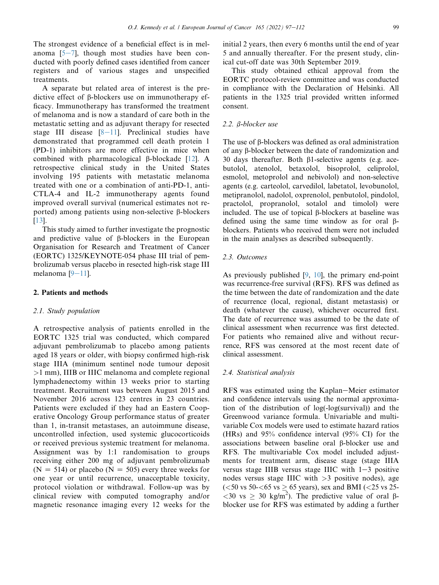The strongest evidence of a beneficial effect is in melanoma  $[5-7]$  $[5-7]$  $[5-7]$  $[5-7]$  $[5-7]$ , though most studies have been conducted with poorly defined cases identified from cancer registers and of various stages and unspecified treatments.

A separate but related area of interest is the predictive effect of b-blockers use on immunotherapy efficacy. Immunotherapy has transformed the treatment of melanoma and is now a standard of care both in the metastatic setting and as adjuvant therapy for resected stage III disease  $[8-11]$  $[8-11]$  $[8-11]$  $[8-11]$  $[8-11]$ . Preclinical studies have demonstrated that programmed cell death protein 1 (PD-1) inhibitors are more effective in mice when combined with pharmacological  $\beta$ -blockade [[12\]](#page-16-6). A retrospective clinical study in the United States involving 195 patients with metastatic melanoma treated with one or a combination of anti-PD-1, anti-CTLA-4 and IL-2 immunotherapy agents found improved overall survival (numerical estimates not reported) among patients using non-selective  $\beta$ -blockers [\[13](#page-16-7)].

This study aimed to further investigate the prognostic and predictive value of  $\beta$ -blockers in the European Organisation for Research and Treatment of Cancer (EORTC) 1325/KEYNOTE-054 phase III trial of pembrolizumab versus placebo in resected high-risk stage III melanoma  $[9-11]$  $[9-11]$  $[9-11]$  $[9-11]$  $[9-11]$ .

## 2. Patients and methods

#### 2.1. Study population

A retrospective analysis of patients enrolled in the EORTC 1325 trial was conducted, which compared adjuvant pembrolizumab to placebo among patients aged 18 years or older, with biopsy confirmed high-risk stage IIIA (minimum sentinel node tumour deposit >1 mm), IIIB or IIIC melanoma and complete regional lymphadenectomy within 13 weeks prior to starting treatment. Recruitment was between August 2015 and November 2016 across 123 centres in 23 countries. Patients were excluded if they had an Eastern Cooperative Oncology Group performance status of greater than 1, in-transit metastases, an autoimmune disease, uncontrolled infection, used systemic glucocorticoids or received previous systemic treatment for melanoma. Assignment was by 1:1 randomisation to groups receiving either 200 mg of adjuvant pembrolizumab  $(N = 514)$  or placebo  $(N = 505)$  every three weeks for one year or until recurrence, unacceptable toxicity, protocol violation or withdrawal. Follow-up was by clinical review with computed tomography and/or magnetic resonance imaging every 12 weeks for the initial 2 years, then every 6 months until the end of year 5 and annually thereafter. For the present study, clinical cut-off date was 30th September 2019.

This study obtained ethical approval from the EORTC protocol-review committee and was conducted in compliance with the Declaration of Helsinki. All patients in the 1325 trial provided written informed consent.

## 2.2. *β-blocker use*

The use of B-blockers was defined as oral administration of any b-blocker between the date of randomization and 30 days thereafter. Both b1-selective agents (e.g. acebutolol, atenolol, betaxolol, bisoprolol, celiprolol, esmolol, metoprolol and nebivolol) and non-selective agents (e.g. carteolol, carvedilol, labetatol, levobunolol, metipranolol, nadolol, oxprenolol, penbutolol, pindolol, practolol, propranolol, sotalol and timolol) were included. The use of topical  $\beta$ -blockers at baseline was defined using the same time window as for oral bblockers. Patients who received them were not included in the main analyses as described subsequently.

## 2.3. Outcomes

As previously published [[9,](#page-16-8) [10](#page-16-9)], the primary end-point was recurrence-free survival (RFS). RFS was defined as the time between the date of randomization and the date of recurrence (local, regional, distant metastasis) or death (whatever the cause), whichever occurred first. The date of recurrence was assumed to be the date of clinical assessment when recurrence was first detected. For patients who remained alive and without recurrence, RFS was censored at the most recent date of clinical assessment.

## 2.4. Statistical analysis

RFS was estimated using the Kaplan–Meier estimator and confidence intervals using the normal approximation of the distribution of log(-log(survival)) and the Greenwood variance formula. Univariable and multivariable Cox models were used to estimate hazard ratios (HRs) and 95% confidence interval (95% CI) for the associations between baseline oral  $\beta$ -blocker use and RFS. The multivariable Cox model included adjustments for treatment arm, disease stage (stage IIIA versus stage IIIB versus stage IIIC with  $1-3$  positive nodes versus stage IIIC with  $>3$  positive nodes), age  $(<50 \text{ vs } 50 < 65 \text{ vs } \geq 65 \text{ years})$ , sex and BMI  $(<25 \text{ vs } 25$ - $\langle 30 \text{ vs } \geq 30 \text{ kg/m}^2 \rangle$ . The predictive value of oral  $\beta$ blocker use for RFS was estimated by adding a further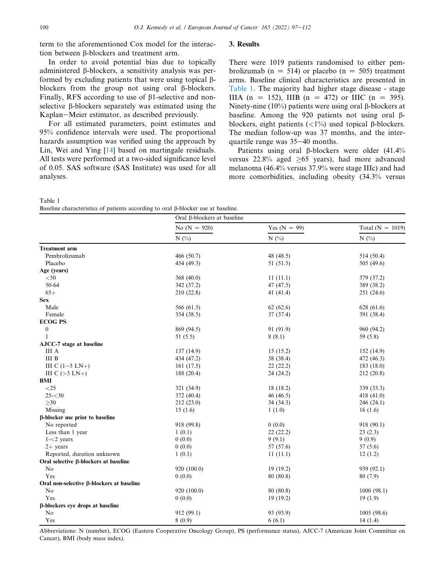term to the aforementioned Cox model for the interaction between  $\beta$ -blockers and treatment arm.

In order to avoid potential bias due to topically administered b-blockers, a sensitivity analysis was performed by excluding patients that were using topical  $\beta$ blockers from the group not using oral  $\beta$ -blockers. Finally, RFS according to use of B1-selective and nonselective  $\beta$ -blockers separately was estimated using the Kaplan–Meier estimator, as described previously.

For all estimated parameters, point estimates and 95% confidence intervals were used. The proportional hazards assumption was verified using the approach by Lin, Wei and Ying [[14\]](#page-16-10) based on martingale residuals. All tests were performed at a two-sided significance level of 0.05. SAS software (SAS Institute) was used for all analyses.

<span id="page-5-0"></span>

| Table 1 |                                                                                  |  |  |  |
|---------|----------------------------------------------------------------------------------|--|--|--|
|         | Baseline characteristics of patients according to oral B-blocker use at baseline |  |  |  |

| Baseline characteristics of patients according to oral β-blocker use at baseline. |                             |                |                      |  |
|-----------------------------------------------------------------------------------|-----------------------------|----------------|----------------------|--|
|                                                                                   | Oral β-blockers at baseline |                |                      |  |
|                                                                                   | No $(N = 920)$              | Yes $(N = 99)$ | Total ( $N = 1019$ ) |  |
|                                                                                   | N(%                         | N(%)           | $N$ (%)              |  |
| Treatment arm                                                                     |                             |                |                      |  |
| Pembrolizumab                                                                     | 466 (50.7)                  | 48 (48.5)      | 514 (50.4)           |  |
| Placebo                                                                           | 454 (49.3)                  | 51(51.5)       | 505 (49.6)           |  |
| Age (years)                                                                       |                             |                |                      |  |
| $< \! 50$                                                                         | 368 (40.0)                  | 11(11.1)       | 379 (37.2)           |  |
| $50 - 64$                                                                         | 342 (37.2)                  | 47 (47.5)      | 389 (38.2)           |  |
| $65+$                                                                             | 210 (22.8)                  | 41 (41.4)      | 251 (24.6)           |  |
| <b>Sex</b>                                                                        |                             |                |                      |  |
| Male                                                                              | 566 (61.5)                  | 62(62.6)       | 628 (61.6)           |  |
| Female                                                                            | 354 (38.5)                  | 37(37.4)       | 391 (38.4)           |  |
| <b>ECOG PS</b>                                                                    |                             |                |                      |  |
| $\boldsymbol{0}$                                                                  | 869 (94.5)                  | 91 (91.9)      | 960 (94.2)           |  |
| -1                                                                                | 51 $(5.5)$                  | 8(8.1)         | 59 (5.8)             |  |
| AJCC-7 stage at baseline                                                          |                             |                |                      |  |
| III A                                                                             | 137 (14.9)                  | 15(15.2)       | 152 (14.9)           |  |
| <b>III</b> B                                                                      | 434 (47.2)                  | 38 (38.4)      | 472 (46.3)           |  |
| III C $(1-3 \text{ LN}+)$                                                         | 161(17.5)                   | 22(22.2)       | 183(18.0)            |  |
| III C $(>3 \text{LN}+)$                                                           | 188 (20.4)                  | 24 (24.2)      | 212 (20.8)           |  |
| BMI                                                                               |                             |                |                      |  |
| $<$ 25                                                                            | 321 (34.9)                  | 18 (18.2)      | 339 (33.3)           |  |
| $25 - 30$                                                                         | 372 (40.4)                  | 46 (46.5)      | 418 $(41.0)$         |  |
| $\geq 30$                                                                         | 212 (23.0)                  | 34(34.3)       | 246(24.1)            |  |
| Missing                                                                           | 15(1.6)                     | 1(1.0)         | 16(1.6)              |  |
| β-blocker use prior to baseline                                                   |                             |                |                      |  |
| No reported                                                                       | 918 (99.8)                  | 0(0.0)         | 918 (90.1)           |  |
| Less than 1 year                                                                  | 1(0.1)                      | 22(22.2)       | 23(2.3)              |  |
| $1 - 2$ years                                                                     | 0(0.0)                      | 9(9.1)         | 9(0.9)               |  |
| $2+$ vears                                                                        | 0(0.0)                      | 57 (57.6)      | 57(5.6)              |  |
| Reported, duration unknown                                                        | 1(0.1)                      | 11(11.1)       | 12(1.2)              |  |
| Oral selective β-blockers at baseline                                             |                             |                |                      |  |
| No                                                                                | 920 (100.0)                 | 19(19.2)       | 939 (92.1)           |  |
| Yes                                                                               | 0(0.0)                      | 80 (80.8)      | 80(7.9)              |  |
| Oral non-selective β-blockers at baseline                                         |                             |                |                      |  |
| No                                                                                | 920 (100.0)                 | 80 (80.8)      | 1000(98.1)           |  |
| Yes                                                                               | 0(0.0)                      | 19(19.2)       | 19(1.9)              |  |
| β-blockers eye drops at baseline                                                  |                             |                |                      |  |
| No                                                                                | 912 (99.1)                  | 93 (93.9)      | 1005(98.6)           |  |
| Yes                                                                               | 8(0.9)                      | 6(6.1)         | 14(1.4)              |  |

Abbreviations: N (number), ECOG (Eastern Cooperative Oncology Group), PS (performance status), AJCC-7 (American Joint Committee on Cancer), BMI (body mass index).

#### 3. Results

There were 1019 patients randomised to either pembrolizumab (n = 514) or placebo (n = 505) treatment arms. Baseline clinical characteristics are presented in [Table 1.](#page-5-0) The majority had higher stage disease - stage IIIA (n = 152), IIIB (n = 472) or IIIC (n = 395). Ninety-nine (10%) patients were using oral  $\beta$ -blockers at baseline. Among the 920 patients not using oral  $\beta$ blockers, eight patients  $\left(\langle 1\% \rangle\right)$  used topical  $\beta$ -blockers. The median follow-up was 37 months, and the interquartile range was  $35-40$  months.

Patients using oral  $\beta$ -blockers were older (41.4% versus 22.8% aged  $\geq 65$  years), had more advanced melanoma (46.4% versus 37.9% were stage IIIc) and had more comorbidities, including obesity (34.3% versus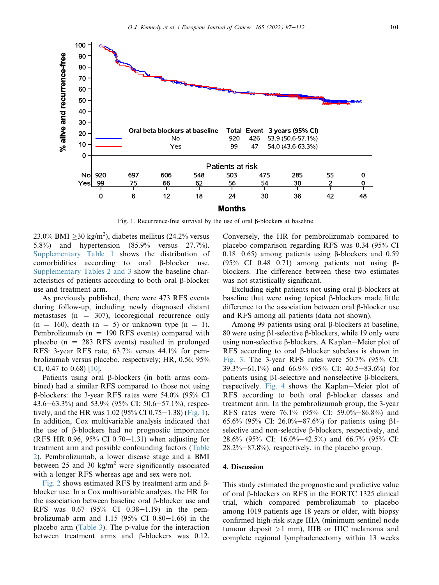<span id="page-6-0"></span>

Fig. 1. Recurrence-free survival by the use of oral  $\beta$ -blockers at baseline.

23.0% BMI  $\geq$ 30 kg/m<sup>2</sup>), diabetes mellitus (24.2% versus 5.8%) and hypertension (85.9% versus 27.7%). Supplementary Table 1 shows the distribution of comorbidities according to oral b-blocker use. Supplementary Tables 2 and 3 show the baseline characteristics of patients according to both oral  $\beta$ -blocker use and treatment arm.

As previously published, there were 473 RFS events during follow-up, including newly diagnosed distant metastases ( $n = 307$ ), locoregional recurrence only  $(n = 160)$ , death  $(n = 5)$  or unknown type  $(n = 1)$ . Pembrolizumab ( $n = 190$  RFS events) compared with placebo ( $n = 283$  RFS events) resulted in prolonged RFS: 3-year RFS rate, 63.7% versus 44.1% for pembrolizumab versus placebo, respectively; HR, 0.56; 95% CI, 0.47 to 0.68) [[10\]](#page-16-9).

Patients using oral  $\beta$ -blockers (in both arms combined) had a similar RFS compared to those not using  $\beta$ -blockers: the 3-year RFS rates were 54.0% (95% CI 43.6–63.3%) and 53.9% (95% CI: 50.6–57.1%), respectively, and the HR was  $1.02$  (95% CI 0.75–1.38) ([Fig. 1](#page-6-0)). In addition, Cox multivariable analysis indicated that the use of  $\beta$ -blockers had no prognostic importance (RFS HR 0.96, 95% CI 0.70–1.31) when adjusting for treatment arm and possible confounding factors [\(Table](#page-7-0) [2](#page-7-0)). Pembrolizumab, a lower disease stage and a BMI between 25 and 30 kg/m<sup>2</sup> were significantly associated with a longer RFS whereas age and sex were not.

[Fig. 2](#page-7-1) shows estimated RFS by treatment arm and  $\beta$ blocker use. In a Cox multivariable analysis, the HR for the association between baseline oral  $\beta$ -blocker use and RFS was  $0.67$  (95% CI  $0.38-1.19$ ) in the pembrolizumab arm and  $1.15$  (95% CI 0.80-1.66) in the placebo arm [\(Table 3](#page-8-0)). The p-value for the interaction between treatment arms and β-blockers was 0.12. Conversely, the HR for pembrolizumab compared to placebo comparison regarding RFS was 0.34 (95% CI 0.18–0.65) among patients using  $\beta$ -blockers and 0.59  $(95\% \text{ CI } 0.48-0.71)$  among patients not using  $\beta$ blockers. The difference between these two estimates was not statistically significant.

Excluding eight patients not using oral  $\beta$ -blockers at baseline that were using topical  $\beta$ -blockers made little difference to the association between oral  $\beta$ -blocker use and RFS among all patients (data not shown).

Among 99 patients using oral  $\beta$ -blockers at baseline, 80 were using  $\beta$ 1-selective  $\beta$ -blockers, while 19 only were using non-selective  $\beta$ -blockers. A Kaplan–Meier plot of RFS according to oral  $\beta$ -blocker subclass is shown in [Fig. 3](#page-8-1). The 3-year RFS rates were 50.7% (95% CI:  $39.3\% - 61.1\%$  and  $66.9\%$  (95% CI: 40.5-83.6%) for patients using  $\beta$ 1-selective and nonselective  $\beta$ -blockers, respectively. [Fig. 4](#page-9-0) shows the Kaplan–Meier plot of RFS according to both oral  $\beta$ -blocker classes and treatment arm. In the pembrolizumab group, the 3-year RFS rates were 76.1% (95% CI: 59.0%–86.8%) and 65.6% (95% CI: 26.0%–87.6%) for patients using  $\beta$ 1selective and non-selective  $\beta$ -blockers, respectively, and 28.6% (95% CI: 16.0%-42.5%) and 66.7% (95% CI:  $28.2\% - 87.8\%$ , respectively, in the placebo group.

#### 4. Discussion

This study estimated the prognostic and predictive value of oral  $\beta$ -blockers on RFS in the EORTC 1325 clinical trial, which compared pembrolizumab to placebo among 1019 patients age 18 years or older, with biopsy confirmed high-risk stage IIIA (minimum sentinel node tumour deposit >1 mm), IIIB or IIIC melanoma and complete regional lymphadenectomy within 13 weeks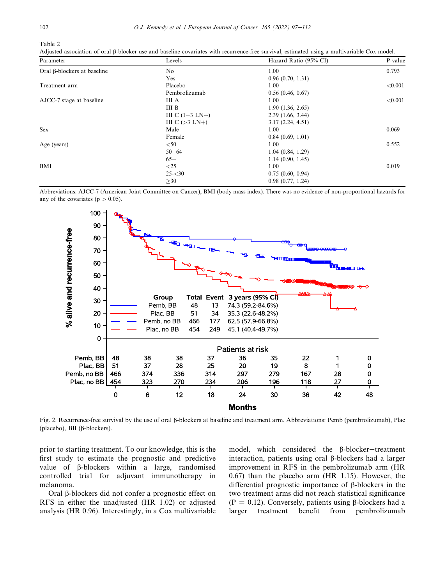<span id="page-7-0"></span>Table 2

| Adjusted association of oral β-blocker use and baseline covariates with recurrence-free survival, estimated using a multivariable Cox model. |  |
|----------------------------------------------------------------------------------------------------------------------------------------------|--|
|----------------------------------------------------------------------------------------------------------------------------------------------|--|

| Parameter                   | Levels                    | Hazard Ratio (95% CI) | P-value |
|-----------------------------|---------------------------|-----------------------|---------|
| Oral β-blockers at baseline | N <sub>o</sub>            | 1.00                  | 0.793   |
|                             | Yes                       | 0.96(0.70, 1.31)      |         |
| Treatment arm               | Placebo                   | 1.00                  | < 0.001 |
|                             | Pembrolizumab             | 0.56(0.46, 0.67)      |         |
| AJCC-7 stage at baseline    | III A                     | 1.00                  | < 0.001 |
|                             | <b>III</b> B              | 1.90(1.36, 2.65)      |         |
|                             | III C $(1-3 \text{ LN}+)$ | 2.39(1.66, 3.44)      |         |
|                             | III C $(>3$ LN+)          | 3.17(2.24, 4.51)      |         |
| <b>Sex</b>                  | Male                      | 1.00                  | 0.069   |
|                             | Female                    | 0.84(0.69, 1.01)      |         |
| Age (years)                 | $<$ 50                    | 1.00                  | 0.552   |
|                             | $50 - 64$                 | 1.04(0.84, 1.29)      |         |
|                             | $65+$                     | 1.14(0.90, 1.45)      |         |
| BMI                         | $<$ 25                    | 1.00                  | 0.019   |
|                             | $25 - 30$                 | 0.75(0.60, 0.94)      |         |
|                             | >30                       | 0.98(0.77, 1.24)      |         |

<span id="page-7-1"></span>Abbreviations: AJCC-7 (American Joint Committee on Cancer), BMI (body mass index). There was no evidence of non-proportional hazards for any of the covariates ( $p > 0.05$ ).



Fig. 2. Recurrence-free survival by the use of oral  $\beta$ -blockers at baseline and treatment arm. Abbreviations: Pemb (pembrolizumab), Plac (placebo), BB ( $\beta$ -blockers).

prior to starting treatment. To our knowledge, this is the first study to estimate the prognostic and predictive value of  $\beta$ -blockers within a large, randomised controlled trial for adjuvant immunotherapy in melanoma.

Oral b-blockers did not confer a prognostic effect on RFS in either the unadjusted (HR 1.02) or adjusted analysis (HR 0.96). Interestingly, in a Cox multivariable model, which considered the  $\beta$ -blocker-treatment interaction, patients using oral  $\beta$ -blockers had a larger improvement in RFS in the pembrolizumab arm (HR 0.67) than the placebo arm (HR 1.15). However, the differential prognostic importance of  $\beta$ -blockers in the two treatment arms did not reach statistical significance ( $P = 0.12$ ). Conversely, patients using  $\beta$ -blockers had a larger treatment benefit from pembrolizumab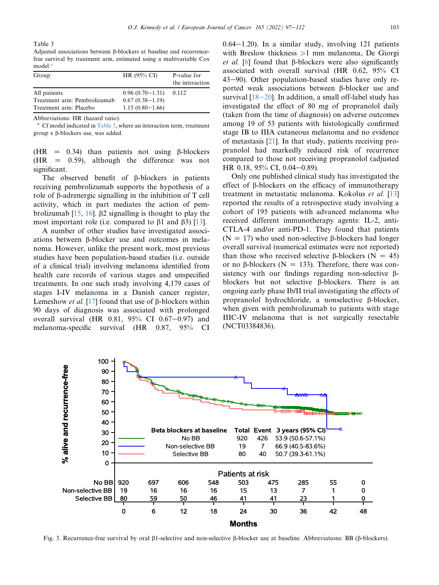<span id="page-8-0"></span>Table 3

Adjusted associations between  $\beta$ -blockers at baseline and recurrencefree survival by treatment arm, estimated using a multivariable Cox model.<sup>a</sup>

| Group                        | HR (95% CI)         | P-value for<br>the interaction |
|------------------------------|---------------------|--------------------------------|
| All patients                 | $0.96(0.70-1.31)$   | 0.112                          |
| Treatment arm: Pembrolizumab | $0.67(0.38-1.19)$   |                                |
| Treatment arm: Placebo       | $1.15(0.80 - 1.66)$ |                                |

Abbreviations: HR (hazard ratio).

<sup>a</sup> Cf model indicated in [Table 3,](#page-8-0) where an interaction term, treatment group  $x$   $\beta$ -blockers use, was added.

(HR  $=$  0.34) than patients not using  $\beta$ -blockers  $(HR = 0.59)$ , although the difference was not significant.

The observed benefit of  $\beta$ -blockers in patients receiving pembrolizumab supports the hypothesis of a role of  $\beta$ -adrenergic signalling in the inhibition of T cell activity, which in part mediates the action of pembrolizumab  $[15, 16]$  $[15, 16]$  $[15, 16]$ .  $\beta$ 2 signalling is thought to play the most important role (i.e. compared to  $\beta$ 1 and  $\beta$ 3) [\[13\]](#page-16-7).

A number of other studies have investigated associations between b-blocker use and outcomes in melanoma. However, unlike the present work, most previous studies have been population-based studies (i.e. outside of a clinical trial) involving melanoma identified from health care records of various stages and unspecified treatments. In one such study involving 4,179 cases of stages I-IV melanoma in a Danish cancer register, Lemeshow *et al.* [[17\]](#page-17-1) found that use of  $\beta$ -blockers within 90 days of diagnosis was associated with prolonged overall survival (HR  $0.81, 95\%$  CI  $0.67-0.97$ ) and melanoma-specific survival (HR 0.87, 95% CI  $0.64-1.20$ ). In a similar study, involving 121 patients with Breslow thickness >1 mm melanoma, De Giorgi et al. [\[6](#page-16-12)] found that  $\beta$ -blockers were also significantly associated with overall survival (HR 0.62, 95% CI  $43-90$ ). Other population-based studies have only reported weak associations between  $\beta$ -blocker use and survival  $[18-20]$  $[18-20]$  $[18-20]$ . In addition, a small off-label study has investigated the effect of 80 mg of propranolol daily (taken from the time of diagnosis) on adverse outcomes among 19 of 53 patients with histologically confirmed stage IB to IIIA cutaneous melanoma and no evidence of metastasis [\[21](#page-17-3)]. In that study, patients receiving propranolol had markedly reduced risk of recurrence compared to those not receiving propranolol (adjusted HR 0.18,  $95\%$  CI, 0.04–0.89).

Only one published clinical study has investigated the effect of  $\beta$ -blockers on the efficacy of immunotherapy treatment in metastatic melanoma. Kokolus et al. [[13\]](#page-16-7) reported the results of a retrospective study involving a cohort of 195 patients with advanced melanoma who received different immunotherapy agents: IL-2, anti-CTLA-4 and/or anti-PD-1. They found that patients ( $N = 17$ ) who used non-selective  $\beta$ -blockers had longer overall survival (numerical estimates were not reported) than those who received selective  $\beta$ -blockers (N = 45) or no  $\beta$ -blockers (N = 133). Therefore, there was consistency with our findings regarding non-selective  $\beta$ blockers but not selective  $\beta$ -blockers. There is an ongoing early phase Ib/II trial investigating the effects of propranolol hydrochloride, a nonselective b-blocker, when given with pembrolizumab to patients with stage IIIC-IV melanoma that is not surgically resectable (NCT03384836).

<span id="page-8-1"></span>

Fig. 3. Recurrence-free survival by oral b1-selective and non-selective b-blocker use at baseline. Abbreviations: BB (b-blockers).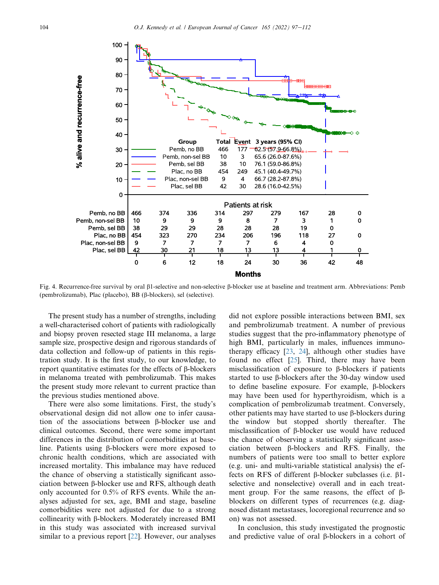<span id="page-9-0"></span>

Fig. 4. Recurrence-free survival by oral b1-selective and non-selective b-blocker use at baseline and treatment arm. Abbreviations: Pemb (pembrolizumab), Plac (placebo), BB (b-blockers), sel (selective).

The present study has a number of strengths, including a well-characterised cohort of patients with radiologically and biopsy proven resected stage III melanoma, a large sample size, prospective design and rigorous standards of data collection and follow-up of patients in this registration study. It is the first study, to our knowledge, to report quantitative estimates for the effects of  $\beta$ -blockers in melanoma treated with pembrolizumab. This makes the present study more relevant to current practice than the previous studies mentioned above.

There were also some limitations. First, the study's observational design did not allow one to infer causation of the associations between  $\beta$ -blocker use and clinical outcomes. Second, there were some important differences in the distribution of comorbidities at baseline. Patients using b-blockers were more exposed to chronic health conditions, which are associated with increased mortality. This imbalance may have reduced the chance of observing a statistically significant association between b-blocker use and RFS, although death only accounted for 0.5% of RFS events. While the analyses adjusted for sex, age, BMI and stage, baseline comorbidities were not adjusted for due to a strong collinearity with  $\beta$ -blockers. Moderately increased BMI in this study was associated with increased survival similar to a previous report [\[22](#page-17-4)]. However, our analyses

did not explore possible interactions between BMI, sex and pembrolizumab treatment. A number of previous studies suggest that the pro-inflammatory phenotype of high BMI, particularly in males, influences immunotherapy efficacy [[23,](#page-17-5) [24](#page-17-6)], although other studies have found no effect [[25\]](#page-17-7). Third, there may have been misclassification of exposure to  $\beta$ -blockers if patients started to use  $\beta$ -blockers after the 30-day window used to define baseline exposure. For example,  $\beta$ -blockers may have been used for hyperthyroidism, which is a complication of pembrolizumab treatment. Conversely, other patients may have started to use  $\beta$ -blockers during the window but stopped shortly thereafter. The misclassification of  $\beta$ -blocker use would have reduced the chance of observing a statistically significant association between b-blockers and RFS. Finally, the numbers of patients were too small to better explore (e.g. uni- and multi-variable statistical analysis) the effects on RFS of different  $\beta$ -blocker subclasses (i.e.  $\beta$ 1selective and nonselective) overall and in each treatment group. For the same reasons, the effect of  $\beta$ blockers on different types of recurrences (e.g. diagnosed distant metastases, locoregional recurrence and so on) was not assessed.

In conclusion, this study investigated the prognostic and predictive value of oral  $\beta$ -blockers in a cohort of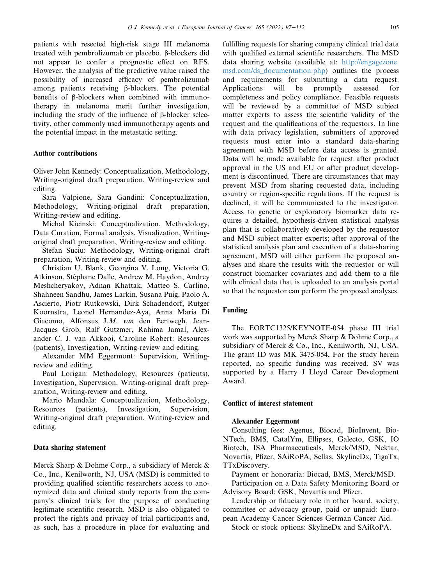patients with resected high-risk stage III melanoma treated with pembrolizumab or placebo. β-blockers did not appear to confer a prognostic effect on RFS. However, the analysis of the predictive value raised the possibility of increased efficacy of pembrolizumab among patients receiving  $\beta$ -blockers. The potential benefits of b-blockers when combined with immunotherapy in melanoma merit further investigation, including the study of the influence of  $\beta$ -blocker selectivity, other commonly used immunotherapy agents and the potential impact in the metastatic setting.

#### Author contributions

Oliver John Kennedy: Conceptualization, Methodology, Writing-original draft preparation, Writing-review and editing.

Sara Valpione, Sara Gandini: Conceptualization, Methodology, Writing-original draft preparation, Writing-review and editing.

Michal Kicinski: Conceptualization, Methodology, Data Curation, Formal analysis, Visualization, Writingoriginal draft preparation, Writing-review and editing.

Stefan Suciu: Methodology, Writing-original draft preparation, Writing-review and editing.

Christian U. Blank, Georgina V. Long, Victoria G. Atkinson, Stéphane Dalle, Andrew M. Haydon, Andrey Meshcheryakov, Adnan Khattak, Matteo S. Carlino, Shahneen Sandhu, James Larkin, Susana Puig, Paolo A. Ascierto, Piotr Rutkowski, Dirk Schadendorf, Rutger Koornstra, Leonel Hernandez-Aya, Anna Maria Di Giacomo, Alfonsus J.M. van den Eertwegh, Jean-Jacques Grob, Ralf Gutzmer, Rahima Jamal, Alexander C. J. van Akkooi, Caroline Robert: Resources (patients), Investigation, Writing-review and editing.

Alexander MM Eggermont: Supervision, Writingreview and editing.

Paul Lorigan: Methodology, Resources (patients), Investigation, Supervision, Writing-original draft preparation, Writing-review and editing.

Mario Mandala: Conceptualization, Methodology, Resources (patients), Investigation, Supervision, Writing-original draft preparation, Writing-review and editing.

#### Data sharing statement

Merck Sharp & Dohme Corp., a subsidiary of Merck & Co., Inc., Kenilworth, NJ, USA (MSD) is committed to providing qualified scientific researchers access to anonymized data and clinical study reports from the company's clinical trials for the purpose of conducting legitimate scientific research. MSD is also obligated to protect the rights and privacy of trial participants and, as such, has a procedure in place for evaluating and fulfilling requests for sharing company clinical trial data with qualified external scientific researchers. The MSD data sharing website (available at: [http://engagezone.](http://engagezone.msd.com/ds_documentation.php) [msd.com/ds\\_documentation.php\)](http://engagezone.msd.com/ds_documentation.php) outlines the process and requirements for submitting a data request. Applications will be promptly assessed for completeness and policy compliance. Feasible requests will be reviewed by a committee of MSD subject matter experts to assess the scientific validity of the request and the qualifications of the requestors. In line with data privacy legislation, submitters of approved requests must enter into a standard data-sharing agreement with MSD before data access is granted. Data will be made available for request after product approval in the US and EU or after product development is discontinued. There are circumstances that may prevent MSD from sharing requested data, including country or region-specific regulations. If the request is declined, it will be communicated to the investigator. Access to genetic or exploratory biomarker data requires a detailed, hypothesis-driven statistical analysis plan that is collaboratively developed by the requestor and MSD subject matter experts; after approval of the statistical analysis plan and execution of a data-sharing agreement, MSD will either perform the proposed analyses and share the results with the requestor or will construct biomarker covariates and add them to a file with clinical data that is uploaded to an analysis portal so that the requestor can perform the proposed analyses.

## Funding

The EORTC1325/KEYNOTE-054 phase III trial work was supported by Merck Sharp & Dohme Corp., a subsidiary of Merck & Co., Inc., Kenilworth, NJ, USA. The grant ID was MK 3475-054. For the study herein reported, no specific funding was received. SV was supported by a Harry J Lloyd Career Development Award.

#### Conflict of interest statement

## Alexander Eggermont

Consulting fees: Agenus, Biocad, BioInvent, Bio-NTech, BMS, CatalYm, Ellipses, Galecto, GSK, IO Biotech, ISA Pharmaceuticals, Merck/MSD, Nektar, Novartis, Pfizer, SAiRoPA, Sellas, SkylineDx, TigaTx, TTxDiscovery.

Payment or honoraria: Biocad, BMS, Merck/MSD. Participation on a Data Safety Monitoring Board or Advisory Board: GSK, Novartis and Pfizer.

Leadership or fiduciary role in other board, society, committee or advocacy group, paid or unpaid: European Academy Cancer Sciences German Cancer Aid.

Stock or stock options: SkylineDx and SAiRoPA.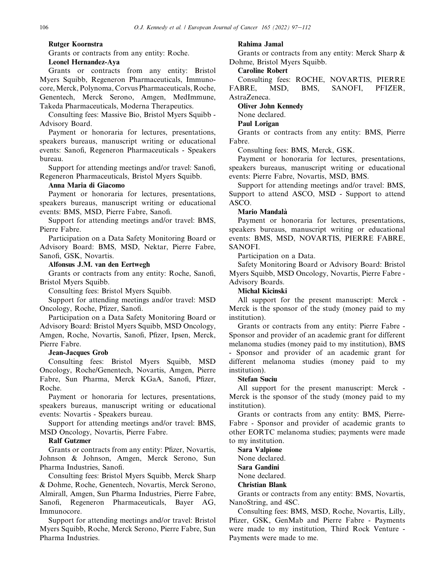## Rutger Koornstra

Grants or contracts from any entity: Roche.

## Leonel Hernandez-Aya

Grants or contracts from any entity: Bristol Myers Squibb, Regeneron Pharmaceuticals, Immunocore,Merck, Polynoma, Corvus Pharmaceuticals, Roche, Genentech, Merck Serono, Amgen, MedImmune, Takeda Pharmaceuticals, Moderna Therapeutics.

Consulting fees: Massive Bio, Bristol Myers Squibb - Advisory Board.

Payment or honoraria for lectures, presentations, speakers bureaus, manuscript writing or educational events: Sanofi, Regeneron Pharmaceuticals - Speakers bureau.

Support for attending meetings and/or travel: Sanofi, Regeneron Pharmaceuticals, Bristol Myers Squibb.

## Anna Maria di Giacomo

Payment or honoraria for lectures, presentations, speakers bureaus, manuscript writing or educational events: BMS, MSD, Pierre Fabre, Sanofi.

Support for attending meetings and/or travel: BMS, Pierre Fabre.

Participation on a Data Safety Monitoring Board or Advisory Board: BMS, MSD, Nektar, Pierre Fabre, Sanofi, GSK, Novartis.

## Alfonsus J.M. van den Eertwegh

Grants or contracts from any entity: Roche, Sanofi, Bristol Myers Squibb.

Consulting fees: Bristol Myers Squibb.

Support for attending meetings and/or travel: MSD Oncology, Roche, Pfizer, Sanofi.

Participation on a Data Safety Monitoring Board or Advisory Board: Bristol Myers Squibb, MSD Oncology, Amgen, Roche, Novartis, Sanofi, Pfizer, Ipsen, Merck, Pierre Fabre.

#### Jean-Jacques Grob

Consulting fees: Bristol Myers Squibb, MSD Oncology, Roche/Genentech, Novartis, Amgen, Pierre Fabre, Sun Pharma, Merck KGaA, Sanofi, Pfizer, Roche.

Payment or honoraria for lectures, presentations, speakers bureaus, manuscript writing or educational events: Novartis - Speakers bureau.

Support for attending meetings and/or travel: BMS, MSD Oncology, Novartis, Pierre Fabre.

#### Ralf Gutzmer

Grants or contracts from any entity: Pfizer, Novartis, Johnson & Johnson, Amgen, Merck Serono, Sun Pharma Industries, Sanofi.

Consulting fees: Bristol Myers Squibb, Merck Sharp & Dohme, Roche, Genentech, Novartis, Merck Serono, Almirall, Amgen, Sun Pharma Industries, Pierre Fabre, Sanofi, Regeneron Pharmaceuticals, Bayer AG, Immunocore.

Support for attending meetings and/or travel: Bristol Myers Squibb, Roche, Merck Serono, Pierre Fabre, Sun Pharma Industries.

## Rahima Jamal

Grants or contracts from any entity: Merck Sharp & Dohme, Bristol Myers Squibb.

## Caroline Robert

Consulting fees: ROCHE, NOVARTIS, PIERRE FABRE, MSD, BMS, SANOFI, PFIZER, AstraZeneca.

Oliver John Kennedy

#### None declared.

#### Paul Lorigan

Grants or contracts from any entity: BMS, Pierre Fabre.

Consulting fees: BMS, Merck, GSK.

Payment or honoraria for lectures, presentations, speakers bureaus, manuscript writing or educational events: Pierre Fabre, Novartis, MSD, BMS.

Support for attending meetings and/or travel: BMS, Support to attend ASCO, MSD - Support to attend ASCO.

### Mario Mandala`

Payment or honoraria for lectures, presentations, speakers bureaus, manuscript writing or educational events: BMS, MSD, NOVARTIS, PIERRE FABRE, SANOFI.

Participation on a Data.

Safety Monitoring Board or Advisory Board: Bristol Myers Squibb, MSD Oncology, Novartis, Pierre Fabre - Advisory Boards.

## Michal Kicinski

All support for the present manuscript: Merck - Merck is the sponsor of the study (money paid to my institution).

Grants or contracts from any entity: Pierre Fabre - Sponsor and provider of an academic grant for different melanoma studies (money paid to my institution), BMS - Sponsor and provider of an academic grant for different melanoma studies (money paid to my institution).

#### Stefan Suciu

All support for the present manuscript: Merck - Merck is the sponsor of the study (money paid to my institution).

Grants or contracts from any entity: BMS, Pierre-Fabre - Sponsor and provider of academic grants to other EORTC melanoma studies; payments were made to my institution.

Sara Valpione None declared. Sara Gandini None declared.

## Christian Blank

Grants or contracts from any entity: BMS, Novartis, NanoString, and 4SC.

Consulting fees: BMS, MSD, Roche, Novartis, Lilly, Pfizer, GSK, GenMab and Pierre Fabre - Payments were made to my institution, Third Rock Venture - Payments were made to me.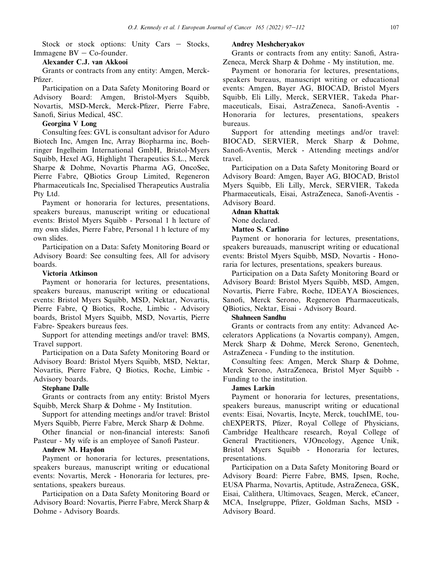Stock or stock options: Unity Cars  $-$  Stocks, Immagene  $BV - Co$ -founder.

#### Alexander C.J. van Akkooi

Grants or contracts from any entity: Amgen, Merck-Pfizer.

Participation on a Data Safety Monitoring Board or Advisory Board: Amgen, Bristol-Myers Squibb, Novartis, MSD-Merck, Merck-Pfizer, Pierre Fabre, Sanofi, Sirius Medical, 4SC.

## Georgina V Long

Consulting fees: GVL is consultant advisor for Aduro Biotech Inc, Amgen Inc, Array Biopharma inc, Boehringer Ingelheim International GmbH, Bristol-Myers Squibb, Hexel AG, Highlight Therapeutics S.L., Merck Sharpe & Dohme, Novartis Pharma AG, OncoSec, Pierre Fabre, QBiotics Group Limited, Regeneron Pharmaceuticals Inc, Specialised Therapeutics Australia Pty Ltd.

Payment or honoraria for lectures, presentations, speakers bureaus, manuscript writing or educational events: Bristol Myers Squibb - Personal 1 h lecture of my own slides, Pierre Fabre, Personal 1 h lecture of my own slides.

Participation on a Data: Safety Monitoring Board or Advisory Board: See consulting fees, All for advisory boards.

## Victoria Atkinson

Payment or honoraria for lectures, presentations, speakers bureaus, manuscript writing or educational events: Bristol Myers Squibb, MSD, Nektar, Novartis, Pierre Fabre, Q Biotics, Roche, Limbic - Advisory boards, Bristol Myers Squibb, MSD, Novartis, Pierre Fabre- Speakers bureaus fees.

Support for attending meetings and/or travel: BMS, Travel support.

Participation on a Data Safety Monitoring Board or Advisory Board: Bristol Myers Squibb, MSD, Nektar, Novartis, Pierre Fabre, Q Biotics, Roche, Limbic - Advisory boards.

#### Stephane Dalle

Grants or contracts from any entity: Bristol Myers Squibb, Merck Sharp & Dohme - My Institution.

Support for attending meetings and/or travel: Bristol Myers Squibb, Pierre Fabre, Merck Sharp & Dohme.

Other financial or non-financial interests: Sanofi Pasteur - My wife is an employee of Sanofi Pasteur.

#### Andrew M. Haydon

Payment or honoraria for lectures, presentations, speakers bureaus, manuscript writing or educational events: Novartis, Merck - Honoraria for lectures, presentations, speakers bureaus.

Participation on a Data Safety Monitoring Board or Advisory Board: Novartis, Pierre Fabre, Merck Sharp & Dohme - Advisory Boards.

#### Andrey Meshcheryakov

Grants or contracts from any entity: Sanofi, Astra-Zeneca, Merck Sharp & Dohme - My institution, me.

Payment or honoraria for lectures, presentations, speakers bureaus, manuscript writing or educational events: Amgen, Bayer AG, BIOCAD, Bristol Myers Squibb, Eli Lilly, Merck, SERVIER, Takeda Pharmaceuticals, Eisai, AstraZeneca, Sanofi-Aventis - Honoraria for lectures, presentations, speakers bureaus.

Support for attending meetings and/or travel: BIOCAD, SERVIER, Merck Sharp & Dohme, Sanofi-Aventis, Merck - Attending meetings and/or travel.

Participation on a Data Safety Monitoring Board or Advisory Board: Amgen, Bayer AG, BIOCAD, Bristol Myers Squibb, Eli Lilly, Merck, SERVIER, Takeda Pharmaceuticals, Eisai, AstraZeneca, Sanofi-Aventis - Advisory Board.

## Adnan Khattak

## None declared.

Matteo S. Carlino

Payment or honoraria for lectures, presentations, speakers bureauads, manuscript writing or educational events: Bristol Myers Squibb, MSD, Novartis - Honoraria for lectures, presentations, speakers bureaus.

Participation on a Data Safety Monitoring Board or Advisory Board: Bristol Myers Squibb, MSD, Amgen, Novartis, Pierre Fabre, Roche, IDEAYA Biosciences, Sanofi, Merck Serono, Regeneron Pharmaceuticals, QBiotics, Nektar, Eisai - Advisory Board.

#### Shahneen Sandhu

Grants or contracts from any entity: Advanced Accelerators Applications (a Novartis company), Amgen, Merck Sharp & Dohme, Merck Serono, Genentech, AstraZeneca - Funding to the institution.

Consulting fees: Amgen, Merck Sharp & Dohme, Merck Serono, AstraZeneca, Bristol Myer Squibb - Funding to the institution.

#### James Larkin

Payment or honoraria for lectures, presentations, speakers bureaus, manuscript writing or educational events: Eisai, Novartis, Incyte, Merck, touchIME, touchEXPERTS, Pfizer, Royal College of Physicians, Cambridge Healthcare research, Royal College of General Practitioners, VJOncology, Agence Unik, Bristol Myers Squibb - Honoraria for lectures, presentations.

Participation on a Data Safety Monitoring Board or Advisory Board: Pierre Fabre, BMS, Ipsen, Roche, EUSA Pharma, Novartis, Aptitude, AstraZeneca, GSK, Eisai, Calithera, Ultimovacs, Seagen, Merck, eCancer, MCA, Inselgruppe, Pfizer, Goldman Sachs, MSD - Advisory Board.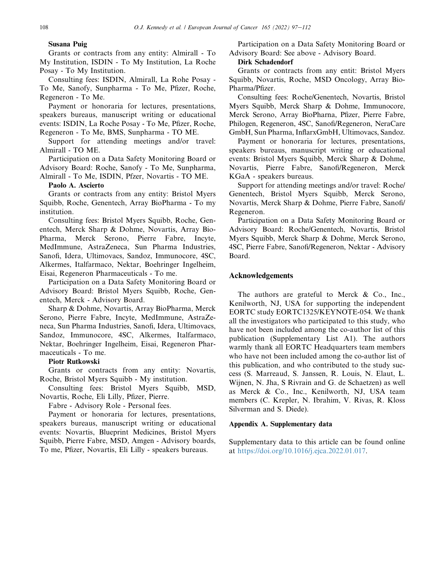## Susana Puig

Grants or contracts from any entity: Almirall - To My Institution, ISDIN - To My Institution, La Roche Posay - To My Institution.

Consulting fees: ISDIN, Almirall, La Rohe Posay - To Me, Sanofy, Sunpharma - To Me, Pfizer, Roche, Regeneron - To Me.

Payment or honoraria for lectures, presentations, speakers bureaus, manuscript writing or educational events: ISDIN, La Roche Posay - To Me, Pfizer, Roche, Regeneron - To Me, BMS, Sunpharma - TO ME.

Support for attending meetings and/or travel: Almirall - TO ME.

Participation on a Data Safety Monitoring Board or Advisory Board: Roche, Sanofy - To Me, Sunpharma, Almirall - To Me, ISDIN, Pfzer, Novartis - TO ME.

## Paolo A. Ascierto

Grants or contracts from any entity: Bristol Myers Squibb, Roche, Genentech, Array BioPharma - To my institution.

Consulting fees: Bristol Myers Squibb, Roche, Genentech, Merck Sharp & Dohme, Novartis, Array Bio-Pharma, Merck Serono, Pierre Fabre, Incyte, MedImmune, AstraZeneca, Sun Pharma Industries, Sanofi, Idera, Ultimovacs, Sandoz, Immunocore, 4SC, Alkermes, Italfarmaco, Nektar, Boehringer Ingelheim, Eisai, Regeneron Pharmaceuticals - To me.

Participation on a Data Safety Monitoring Board or Advisory Board: Bristol Myers Squibb, Roche, Genentech, Merck - Advisory Board.

Sharp & Dohme, Novartis, Array BioPharma, Merck Serono, Pierre Fabre, Incyte, MedImmune, AstraZeneca, Sun Pharma Industries, Sanofi, Idera, Ultimovacs, Sandoz, Immunocore, 4SC, Alkermes, Italfarmaco, Nektar, Boehringer Ingelheim, Eisai, Regeneron Pharmaceuticals - To me.

## Piotr Rutkowski

Grants or contracts from any entity: Novartis, Roche, Bristol Myers Squibb - My institution.

Consulting fees: Bristol Myers Squibb, MSD, Novartis, Roche, Eli Lilly, Pfizer, Pierre.

Fabre - Advisory Role - Personal fees.

Payment or honoraria for lectures, presentations, speakers bureaus, manuscript writing or educational events: Novartis, Blueprint Medicines, Bristol Myers Squibb, Pierre Fabre, MSD, Amgen - Advisory boards, To me, Pfizer, Novartis, Eli Lilly - speakers bureaus.

Participation on a Data Safety Monitoring Board or Advisory Board: See above - Advisory Board.

## Dirk Schadendorf

Grants or contracts from any entit: Bristol Myers Squibb, Novartis, Roche, MSD Oncology, Array Bio-Pharma/Pfizer.

Consulting fees: Roche/Genentech, Novartis, Bristol Myers Squibb, Merck Sharp & Dohme, Immunocore, Merck Serono, Array BioPharna, Pfizer, Pierre Fabre, Philogen, Regeneron, 4SC, Sanofi/Regeneron, NeraCare GmbH, Sun Pharma, InflarxGmbH, Ultimovacs, Sandoz.

Payment or honoraria for lectures, presentations, speakers bureaus, manuscript writing or educational events: Bristol Myers Squibb, Merck Sharp & Dohme, Novartis, Pierre Fabre, Sanofi/Regeneron, Merck KGaA - speakers bureaus.

Support for attending meetings and/or travel: Roche/ Genentech, Bristol Myers Squibb, Merck Serono, Novartis, Merck Sharp & Dohme, Pierre Fabre, Sanofi/ Regeneron.

Participation on a Data Safety Monitoring Board or Advisory Board: Roche/Genentech, Novartis, Bristol Myers Squibb, Merck Sharp & Dohme, Merck Serono, 4SC, Pierre Fabre, Sanofi/Regeneron, Nektar - Advisory Board.

## Acknowledgements

The authors are grateful to Merck & Co., Inc., Kenilworth, NJ, USA for supporting the independent EORTC study EORTC1325/KEYNOTE-054. We thank all the investigators who participated to this study, who have not been included among the co-author list of this publication (Supplementary List A1). The authors warmly thank all EORTC Headquarters team members who have not been included among the co-author list of this publication, and who contributed to the study success (S. Marreaud, S. Janssen, R. Louis, N. Elaut, L. Wijnen, N. Jha, S Rivrain and G. de Schaetzen) as well as Merck & Co., Inc., Kenilworth, NJ, USA team members (C. Krepler, N. Ibrahim, V. Rivas, R. Kloss Silverman and S. Diede).

#### Appendix A. Supplementary data

Supplementary data to this article can be found online at <https://doi.org/10.1016/j.ejca.2022.01.017>.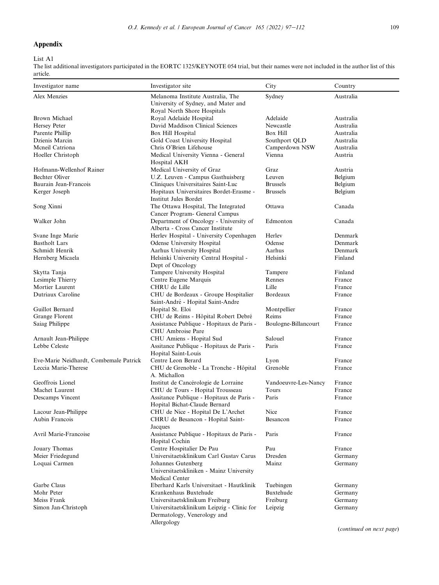## Appendix

List A1

The list additional investigators participated in the EORTC 1325/KEYNOTE 054 trial, but their names were not included in the author list of this article.

| Investigator name                      | Investigator site                                                      | City                 | Country   |
|----------------------------------------|------------------------------------------------------------------------|----------------------|-----------|
| Alex Menzies                           | Melanoma Institute Australia, The                                      | Sydney               | Australia |
|                                        | University of Sydney, and Mater and                                    |                      |           |
|                                        | Royal North Shore Hospitals                                            |                      |           |
| Brown Michael                          | Royal Adelaide Hospital                                                | Adelaide             | Australia |
| Hersey Peter                           | David Maddison Clinical Sciences                                       | Newcastle            | Australia |
| Parente Phillip                        | Box Hill Hospital                                                      | Box Hill             | Australia |
| Dzienis Marcin                         | Gold Coast University Hospital                                         | Southport QLD        | Australia |
| Meneil Catriona                        | Chris O'Brien Lifehouse                                                | Camperdown NSW       | Australia |
| Hoeller Christoph                      | Medical University Vienna - General                                    | Vienna               | Austria   |
| Hofmann-Wellenhof Rainer               | Hospital AKH<br>Medical University of Graz                             | Graz                 | Austria   |
| <b>Bechter Oliver</b>                  | U.Z. Leuven - Campus Gasthuisberg                                      | Leuven               | Belgium   |
| Baurain Jean-Francois                  | Cliniques Universitaires Saint-Luc                                     | <b>Brussels</b>      | Belgium   |
| Kerger Joseph                          | Hopitaux Universitaires Bordet-Erasme -                                | <b>Brussels</b>      | Belgium   |
|                                        | <b>Institut Jules Bordet</b>                                           |                      |           |
| Song Xinni                             | The Ottawa Hospital, The Integrated                                    | Ottawa               | Canada    |
|                                        | Cancer Program- General Campus                                         |                      |           |
| Walker John                            | Department of Oncology - University of                                 | Edmonton             | Canada    |
|                                        | Alberta - Cross Cancer Institute                                       |                      |           |
| Svane Inge Marie                       | Herlev Hospital - University Copenhagen                                | Herley               | Denmark   |
| <b>Bastholt Lars</b>                   | Odense University Hospital                                             | Odense               | Denmark   |
| Schmidt Henrik                         | Aarhus University Hospital                                             | Aarhus               | Denmark   |
| Hernberg Micaela                       | Helsinki University Central Hospital -                                 | Helsinki             | Finland   |
|                                        | Dept of Oncology                                                       |                      |           |
| Skytta Tanja                           | Tampere University Hospital                                            | Tampere              | Finland   |
| Lesimple Thierry                       | Centre Eugene Marquis                                                  | Rennes               | France    |
| Mortier Laurent                        | CHRU de Lille                                                          | Lille                | France    |
| Dutriaux Caroline                      | CHU de Bordeaux - Groupe Hospitalier                                   | Bordeaux             | France    |
|                                        | Saint-André - Hopital Saint-Andre                                      |                      |           |
| Guillot Bernard                        | Hopital St. Eloi                                                       | Montpellier          | France    |
| Grange Florent                         | CHU de Reims - Hôpital Robert Debré                                    | Reims                | France    |
| Saiag Philippe                         | Assistance Publique - Hopitaux de Paris -                              | Boulogne-Billancourt | France    |
|                                        | CHU Ambroise Pare                                                      |                      |           |
| Arnault Jean-Philippe                  | CHU Amiens - Hopital Sud                                               | Salouel              | France    |
| Lebbe Celeste                          | Assitance Publique - Hopitaux de Paris -                               | Paris                | France    |
|                                        | Hopital Saint-Louis                                                    |                      |           |
| Eve-Marie Neidhardt, Combemale Patrick | Centre Leon Berard                                                     | Lyon                 | France    |
| Leccia Marie-Therese                   | CHU de Grenoble - La Tronche - Hôpital                                 | Grenoble             | France    |
|                                        | A. Michallon                                                           |                      |           |
| Geoffrois Lionel                       | Institut de Cancérologie de Lorraine                                   | Vandoeuvre-Les-Nancy | France    |
| Machet Laurent                         | CHU de Tours - Hopital Trousseau                                       | Tours                | France    |
| Descamps Vincent                       | Assitance Publique - Hopitaux de Paris -                               | Paris                | France    |
|                                        | Hopital Bichat-Claude Bernard                                          |                      |           |
| Lacour Jean-Philippe<br>Aubin Francois | CHU de Nice - Hopital De L'Archet<br>CHRU de Besancon - Hopital Saint- | Nice                 | France    |
|                                        |                                                                        | Besancon             | France    |
| Avril Marie-Francoise                  | Jacques<br>Assistance Publique - Hopitaux de Paris -                   | Paris                | France    |
|                                        | Hopital Cochin                                                         |                      |           |
| Jouary Thomas                          | Centre Hospitalier De Pau                                              | Pau                  | France    |
| Meier Friedegund                       | Universitaetsklinikum Carl Gustav Carus                                | Dresden              | Germany   |
| Loquai Carmen                          | Johannes Gutenberg                                                     | Mainz                | Germany   |
|                                        | Universitaetskliniken - Mainz University                               |                      |           |
|                                        | Medical Center                                                         |                      |           |
| Garbe Claus                            | Eberhard Karls Universitaet - Hautklinik                               | Tuebingen            | Germany   |
| Mohr Peter                             | Krankenhaus Buxtehude                                                  | Buxtehude            | Germany   |
| Meiss Frank                            | Universitaetsklinikum Freiburg                                         | Freiburg             | Germany   |
| Simon Jan-Christoph                    | Universitaetsklinikum Leipzig - Clinic for                             | Leipzig              | Germany   |
|                                        | Dermatology, Venerology and                                            |                      |           |
|                                        | Allergology                                                            |                      |           |
|                                        |                                                                        |                      |           |

(continued on next page)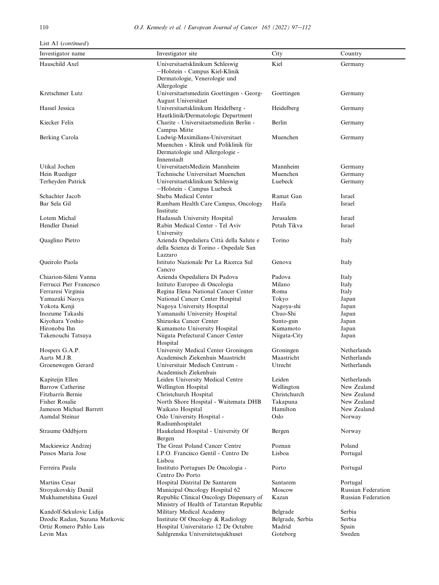## List A1 (continued)

| Investigator name                         | Investigator site                                                                                                        | City             | Country                   |
|-------------------------------------------|--------------------------------------------------------------------------------------------------------------------------|------------------|---------------------------|
| Hauschild Axel                            | Universitaetsklinikum Schleswig                                                                                          | Kiel             | Germany                   |
|                                           | -Holstein - Campus Kiel-Klinik<br>Dermatologie, Venerologie und<br>Allergologie                                          |                  |                           |
| Kretschmer Lutz                           | Universitaetsmedizin Goettingen - Georg-<br>August Universitaet                                                          | Goettingen       | Germany                   |
| Hassel Jessica                            | Universitaetsklinikum Heidelberg -<br>Hautklinik/Dermatologic Department                                                 | Heidelberg       | Germany                   |
| Kiecker Felix                             | Charite - Universitaetsmedizin Berlin -<br>Campus Mitte                                                                  | Berlin           | Germany                   |
| Berking Carola                            | Ludwig-Maximilians-Universitaet<br>Muenchen - Klinik und Poliklinik für<br>Dermatologie und Allergologie -<br>Innenstadt | Muenchen         | Germany                   |
| Utikal Jochen                             | UniversitaetsMedizin Mannheim                                                                                            | Mannheim         | Germany                   |
| Hein Ruediger                             | Technische Universitaet Muenchen                                                                                         | Muenchen         | Germany                   |
| Terheyden Patrick                         | Universitaetsklinikum Schleswig<br>-Holstein - Campus Luebeck                                                            | Luebeck          | Germany                   |
| Schachter Jacob                           | Sheba Medical Center                                                                                                     | Ramat Gan        | Israel                    |
| Bar Sela Gil                              | Rambam Health Care Campus, Oncology<br>Institute                                                                         | Haifa            | Israel                    |
| Lotem Michal                              | Hadassah University Hospital                                                                                             | Jerusalem        | <b>Israel</b>             |
| Hendler Daniel                            | Rabin Medical Center - Tel Aviv<br>University                                                                            | Petah Tikva      | Israel                    |
| Quaglino Pietro                           | Azienda Ospedaliera Città della Salute e<br>della Scienza di Torino - Ospedale San<br>Lazzaro                            | Torino           | Italy                     |
| Queirolo Paola                            | Istituto Nazionale Per La Ricerca Sul<br>Cancro                                                                          | Genova           | Italy                     |
| Chiarion-Sileni Vanna                     | Azienda Ospedaliera Di Padova                                                                                            | Padova           | Italy                     |
| Ferrucci Pier Francesco                   | Istituto Europeo di Oncologia                                                                                            | Milano           | Italy                     |
| Ferraresi Virginia                        | Regina Elena National Cancer Center                                                                                      | Roma             | Italy                     |
| Yamazaki Naoya                            | National Cancer Center Hospital                                                                                          | Tokyo            | Japan                     |
| Yokota Kenji                              | Nagoya University Hospital                                                                                               | Nagoya-shi       | Japan                     |
| Inozume Takashi                           | Yamanashi University Hospital                                                                                            | Chuo-Shi         | Japan                     |
| Kiyohara Yoshio                           | Shizuoka Cancer Center                                                                                                   | Sunto-gun        | Japan                     |
| Hironobu Ihn                              | Kumamoto University Hospital                                                                                             | Kumamoto         | Japan                     |
| Takenouchi Tatsuya                        | Niigata Prefectural Cancer Center<br>Hospital                                                                            | Niigata-City     | Japan                     |
| Hospers G.A.P.                            | University Medical Center Groningen                                                                                      | Groningen        | Netherlands               |
| Aarts M.J.B.                              | Academisch Ziekenhuis Maastricht                                                                                         | Maastricht       | Netherlands               |
| Groenewegen Gerard                        | Universitair Medisch Centrum -<br>Academisch Ziekenhuis                                                                  | Utrecht          | Netherlands               |
| Kapiteijn Ellen                           | Leiden University Medical Centre                                                                                         | Leiden           | Netherlands               |
| <b>Barrow Catherine</b>                   | Wellington Hospital                                                                                                      | Wellington       | New Zealand               |
| Fitzharris Bernie                         | Christchurch Hospital                                                                                                    | Christchurch     | New Zealand               |
| Fisher Rosalie                            | North Shore Hospital - Waitemata DHB                                                                                     | Takapuna         | New Zealand               |
| Jameson Michael Barrett<br>Aamdal Steinar | Waikato Hospital<br>Oslo University Hospital -<br>Radiumhospitalet                                                       | Hamilton<br>Oslo | New Zealand<br>Norway     |
| Straume Oddbjorn                          | Haukeland Hospital - University Of<br>Bergen                                                                             | Bergen           | Norway                    |
| Mackiewicz Andrzej                        | The Great Poland Cancer Centre                                                                                           | Poznan           | Poland                    |
| Passos Maria Jose                         | I.P.O. Francisco Gentil - Centro De                                                                                      | Lisboa           | Portugal                  |
|                                           | Lisboa                                                                                                                   |                  |                           |
| Ferreira Paula                            | Instituto Portugues De Oncologia -<br>Centro Do Porto                                                                    | Porto            | Portugal                  |
| Martins Cesar                             | Hospital Distrital De Santarem                                                                                           | Santarem         | Portugal                  |
| Stroyakovskiy Daniil                      | Municipal Oncology Hospital 62                                                                                           | Moscow           | <b>Russian Federation</b> |
| Mukhametshina Guzel                       | Republic Clinical Oncology Dispensary of<br>Ministry of Health of Tatarstan Republic                                     | Kazan            | <b>Russian Federation</b> |
| Kandolf-Sekulovic Lidija                  | Military Medical Academy                                                                                                 | Belgrade         | Serbia                    |
| Dzodic Radan, Suzana Matkovic             | Institute Of Oncology & Radiology                                                                                        | Belgrade, Serbia | Serbia                    |
| Ortiz Romero Pablo Luis                   | Hospital Universitario 12 De Octubre                                                                                     | Madrid           | Spain                     |
| Levin Max                                 | Sahlgrenska Universitetssjukhuset                                                                                        | Goteborg         | Sweden                    |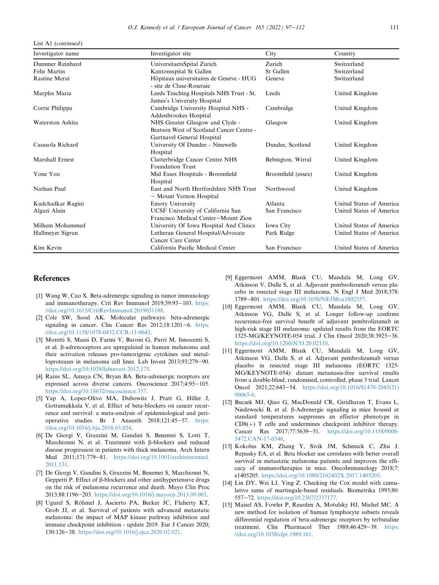List A1 (continued)

| Investigator name    | Investigator site                                                                                         | City               | Country                  |
|----------------------|-----------------------------------------------------------------------------------------------------------|--------------------|--------------------------|
| Dummer Reinhard      | UniversitaetsSpital Zurich                                                                                | Zurich             | Switzerland              |
| Fehr Martin          | Kantonsspital St Gallen                                                                                   | St Gallen          | Switzerland              |
| <b>Rastine Merat</b> | Hôpitaux universitaires de Genève - HUG<br>- site de Cluse-Roseraie                                       | Geneve             | Switzerland              |
| Marples Maria        | Leeds Teaching Hospitals NHS Trust - St.<br>James's University Hospital                                   | Leeds              | United Kingdom           |
| Corrie Philippa      | Cambridge University Hospital NHS -<br>Addenbrookes Hospital                                              | Cambridge          | United Kingdom           |
| Waterston Ashita     | NHS Greater Glasgow and Clyde -<br>Beatson West of Scotland Cancer Centre -<br>Gartnavel General Hospital | Glasgow            | United Kingdom           |
| Casasola Richard     | University Of Dundee - Ninewells<br>Hospital                                                              | Dundee, Scotland   | United Kingdom           |
| Marshall Ernest      | Clatterbridge Cancer Centre NHS<br><b>Foundation Trust</b>                                                | Bebington, Wirral  | United Kingdom           |
| Yone You             | Mid Essex Hospitals - Broomfield<br>Hospital                                                              | Broomfield (essex) | United Kingdom           |
| Nathan Paul          | East and North Hertfordshire NHS Trust<br>- Mount Vernon Hospital                                         | Northwood          | United Kingdom           |
| Kudchadkar Ragini    | <b>Emory University</b>                                                                                   | Atlanta            | United States of America |
| Algazi Alain         | UCSF University of California San<br>Francisco Medical Center-Mount Zion                                  | San Francisco      | United States of America |
| Milhem Mohammed      | University Of Iowa Hospital And Clinics                                                                   | Iowa City          | United States of America |
| Hallmeyer Sigrun     | Lutheran General Hospital/Advocate<br>Cancer Care Center                                                  | Park Ridge         | United States of America |
| Kim Kevin            | California Pacific Medical Center                                                                         | San Francisco      | United States of America |

#### References

- <span id="page-16-0"></span>[1] Wang W, Cao X. Beta-adrenergic signaling in tumor immunology and immunotherapy. Crit Rev Immunol 2019;39:93-103. [https:](https://doi.org/10.1615/CritRevImmunol.2019031188) [//doi.org/10.1615/CritRevImmunol.2019031188](https://doi.org/10.1615/CritRevImmunol.2019031188).
- <span id="page-16-1"></span>[2] Cole SW, Sood AK. Molecular pathways: beta-adrenergic signaling in cancer. Clin Cancer Res  $2012;18:1201-6$ . [https:](https://doi.org/10.1158/1078-0432.CCR-11-0641) [//doi.org/10.1158/1078-0432.CCR-11-0641](https://doi.org/10.1158/1078-0432.CCR-11-0641).
- <span id="page-16-2"></span>[3] Moretti S, Massi D, Farini V, Baroni G, Parri M, Innocenti S, et al. β-adrenoceptors are upregulated in human melanoma and their activation releases pro-tumorigenic cytokines and metalloproteases in melanoma cell lines. Lab Invest 2013;93:279-90. [https://doi.org/10.1038/labinvest.2012.175.](https://doi.org/10.1038/labinvest.2012.175)
- <span id="page-16-3"></span>[4] Rains SL, Amaya CN, Bryan BA. Beta-adrenergic receptors are expressed across diverse cancers. Oncoscience 2017;4:95-105. <https://doi.org/10.18632/oncoscience.357>.
- <span id="page-16-4"></span>[5] Yap A, Lopez-Olivo MA, Dubowitz J, Pratt G, Hiller J, Gottumukkala V, et al. Effect of beta-blockers on cancer recurrence and survival: a meta-analysis of epidemiological and perioperative studies. Br J Anaesth  $2018;121:45-57$ . [https:](https://doi.org/10.1016/j.bja.2018.03.024) [//doi.org/10.1016/j.bja.2018.03.024](https://doi.org/10.1016/j.bja.2018.03.024).
- <span id="page-16-12"></span>[6] De Giorgi V, Grazzini M, Gandini S, Benemei S, Lotti T, Marchionni N, et al. Treatment with  $\beta$ -blockers and reduced disease progression in patients with thick melanoma. Arch Intern Med 2011;171:779-81. [https://doi.org/10.1001/archinternmed.](https://doi.org/10.1001/archinternmed.2011.131) [2011.131.](https://doi.org/10.1001/archinternmed.2011.131)
- [7] De Giorgi V, Gandini S, Grazzini M, Benemei S, Marchionni N, Geppetti P. Effect of  $\beta$ -blockers and other antihypertensive drugs on the risk of melanoma recurrence and death. Mayo Clin Proc 2013;88:1196-203. <https://doi.org/10.1016/j.mayocp.2013.09.001>.
- <span id="page-16-5"></span>[8] Ugurel S, Röhmel J, Ascierto PA, Becker JC, Flaherty KT, Grob JJ, et al. Survival of patients with advanced metastatic melanoma: the impact of MAP kinase pathway inhibition and immune checkpoint inhibition - update 2019. Eur J Cancer 2020; 130:126-38. [https://doi.org/10.1016/j.ejca.2020.02.021.](https://doi.org/10.1016/j.ejca.2020.02.021)
- <span id="page-16-8"></span>[9] Eggermont AMM, Blank CU, Mandala M, Long GV, Atkinson V, Dalle S, et al. Adjuvant pembrolizumab versus placebo in resected stage III melanoma. N Engl J Med 2018;378: 1789-801. <https://doi.org/10.1056/NEJMoa1802357>.
- <span id="page-16-9"></span>[10] Eggermont AMM, Blank CU, Mandala M, Long GV, Atkinson VG, Dalle S, et al. Longer follow-up confirms recurrence-free survival benefit of adjuvant pembrolizumab in high-risk stage III melanoma: updated results from the EORTC 1325-MG/KEYNOTE-054 trial. J Clin Oncol 2020;38:3925-36. [https://doi.org/10.1200/JCO.20.02110.](https://doi.org/10.1200/JCO.20.02110)
- [11] Eggermont AMM, Blank CU, Mandalà M, Long GV, Atkinson VG, Dalle S, et al. Adjuvant pembrolizumab versus placebo in resected stage III melanoma (EORTC 1325- MG/KEYNOTE-054): distant metastasis-free survival results from a double-blind, randomised, controlled, phase 3 trial. Lancet Oncol 2021;22:643-54. [https://doi.org/10.1016/S1470-2045\(21\)](https://doi.org/10.1016/S1470-2045(21)00065-6) [00065-6](https://doi.org/10.1016/S1470-2045(21)00065-6).
- <span id="page-16-6"></span>[12] Bucsek MJ, Qiao G, MacDonald CR, Giridharan T, Evans L, Niedzwecki B, et al. β-Adrenergic signaling in mice housed at standard temperatures suppresses an effector phenotype in  $CD8(+)$  T cells and undermines checkpoint inhibitor therapy. Cancer Res 2017;77:5639-51. [https://doi.org/10.1158/0008-](https://doi.org/10.1158/0008-5472.CAN-17-0546) [5472.CAN-17-0546](https://doi.org/10.1158/0008-5472.CAN-17-0546).
- <span id="page-16-7"></span>[13] Kokolus KM, Zhang Y, Sivik JM, Schmeck C, Zhu J, Repasky EA, et al. Beta blocker use correlates with better overall survival in metastatic melanoma patients and improves the efficacy of immunotherapies in mice. OncoImmunology 2018;7: e1405205. <https://doi.org/10.1080/2162402X.2017.1405205>.
- <span id="page-16-10"></span>[14] Lin DY, Wei LJ, Ying Z. Checking the Cox model with cumulative sums of martingale-based residuals. Biometrika 1993;80: 557-72. [https://doi.org/10.2307/2337177.](https://doi.org/10.2307/2337177)
- <span id="page-16-11"></span>[15] Maisel AS, Fowler P, Rearden A, Motulsky HJ, Michel MC. A new method for isolation of human lymphocyte subsets reveals differential regulation of beta-adrenergic receptors by terbutaline treatment. Clin Pharmacol Ther 1989;46:429-39. [https:](https://doi.org/10.1038/clpt.1989.161) [//doi.org/10.1038/clpt.1989.161.](https://doi.org/10.1038/clpt.1989.161)